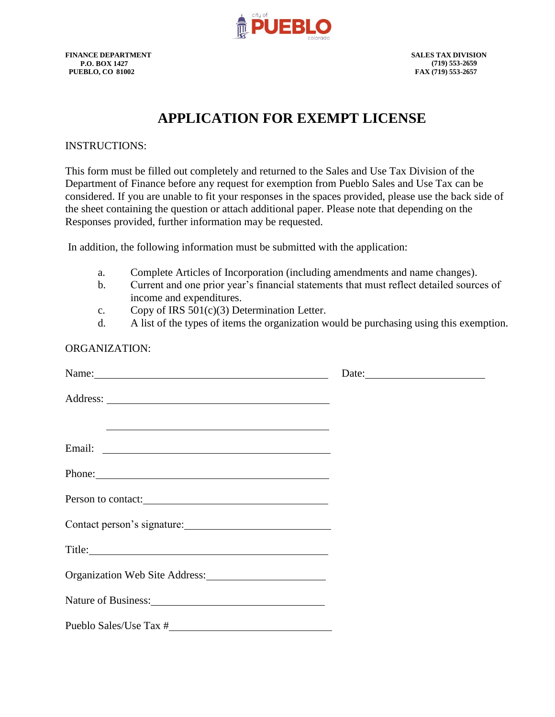

**FINANCE DEPARTMENT SALES TAX DIVISION P.O. BOX 1427 PUEBLO, CO 81002**

## **APPLICATION FOR EXEMPT LICENSE**

#### INSTRUCTIONS:

This form must be filled out completely and returned to the Sales and Use Tax Division of the Department of Finance before any request for exemption from Pueblo Sales and Use Tax can be considered. If you are unable to fit your responses in the spaces provided, please use the back side of the sheet containing the question or attach additional paper. Please note that depending on the Responses provided, further information may be requested.

In addition, the following information must be submitted with the application:

- a. Complete Articles of Incorporation (including amendments and name changes).
- b. Current and one prior year's financial statements that must reflect detailed sources of income and expenditures.
- c. Copy of IRS 501(c)(3) Determination Letter.
- d. A list of the types of items the organization would be purchasing using this exemption.

#### ORGANIZATION:

| Name: Name and the set of the set of the set of the set of the set of the set of the set of the set of the set of the set of the set of the set of the set of the set of the set of the set of the set of the set of the set o |  |
|--------------------------------------------------------------------------------------------------------------------------------------------------------------------------------------------------------------------------------|--|
|                                                                                                                                                                                                                                |  |
| <u> 1989 - Johann Stoff, amerikansk politiker (* 1908)</u>                                                                                                                                                                     |  |
|                                                                                                                                                                                                                                |  |
| Phone: Phone:                                                                                                                                                                                                                  |  |
| Person to contact:                                                                                                                                                                                                             |  |
| Contact person's signature:                                                                                                                                                                                                    |  |
|                                                                                                                                                                                                                                |  |
| Organization Web Site Address:                                                                                                                                                                                                 |  |
| Nature of Business: 1988 and 2008 and 2008 and 2008 and 2008 and 2008 and 2008 and 2008 and 2008 and 2008 and 2008 and 2008 and 2008 and 2008 and 2008 and 2008 and 2008 and 2008 and 2008 and 2008 and 2008 and 2008 and 2008 |  |
|                                                                                                                                                                                                                                |  |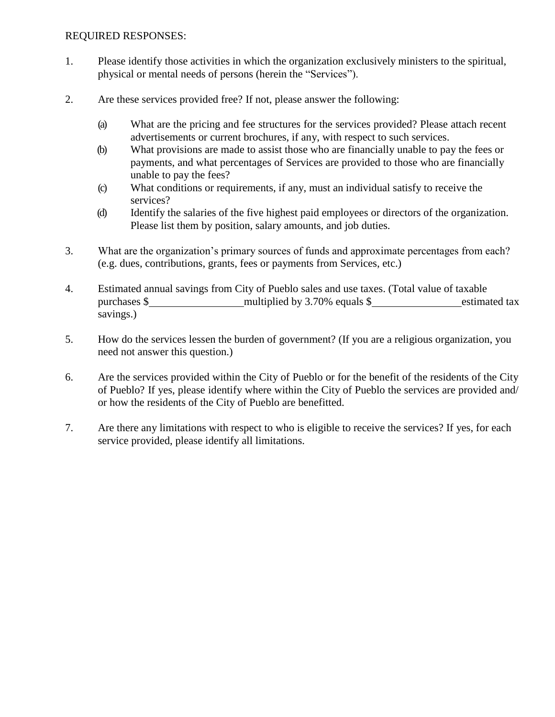### REQUIRED RESPONSES:

- 1. Please identify those activities in which the organization exclusively ministers to the spiritual, physical or mental needs of persons (herein the "Services").
- 2. Are these services provided free? If not, please answer the following:
	- (a) What are the pricing and fee structures for the services provided? Please attach recent advertisements or current brochures, if any, with respect to such services.
	- (b) What provisions are made to assist those who are financially unable to pay the fees or payments, and what percentages of Services are provided to those who are financially unable to pay the fees?
	- (c) What conditions or requirements, if any, must an individual satisfy to receive the services?
	- (d) Identify the salaries of the five highest paid employees or directors of the organization. Please list them by position, salary amounts, and job duties.
- 3. What are the organization's primary sources of funds and approximate percentages from each? (e.g. dues, contributions, grants, fees or payments from Services, etc.)
- 4. Estimated annual savings from City of Pueblo sales and use taxes. (Total value of taxable purchases \$ multiplied by 3.70% equals \$ estimated tax savings.)
- 5. How do the services lessen the burden of government? (If you are a religious organization, you need not answer this question.)
- 6. Are the services provided within the City of Pueblo or for the benefit of the residents of the City of Pueblo? If yes, please identify where within the City of Pueblo the services are provided and/ or how the residents of the City of Pueblo are benefitted.
- 7. Are there any limitations with respect to who is eligible to receive the services? If yes, for each service provided, please identify all limitations.